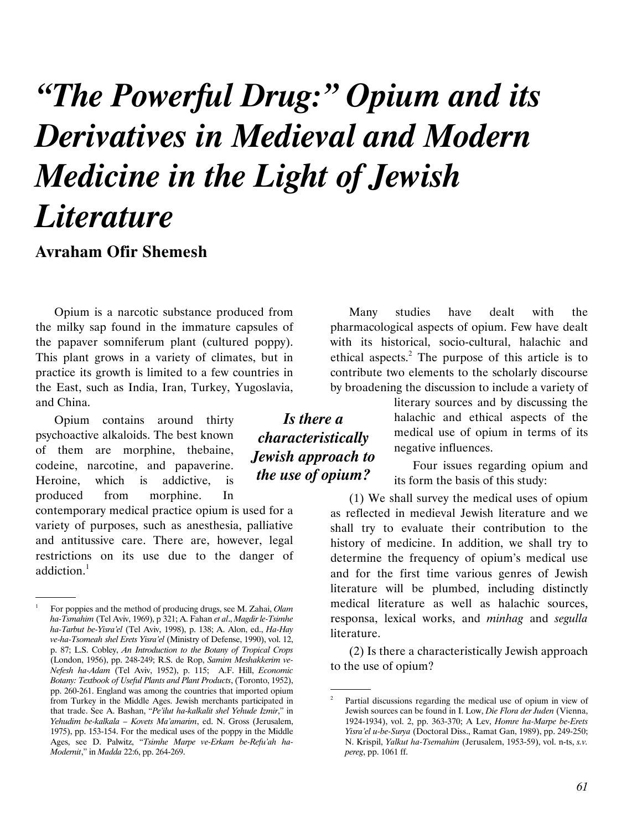# "The Powerful Drug:" Opium and its Derivatives in Medieval and Modern Medicine in the Light of Jewish **Literature**

Is there a characteristically Jewish approach to the use of opium?

# Avraham Ofir Shemesh

Opium is a narcotic substance produced from the milky sap found in the immature capsules of the papaver somniferum plant (cultured poppy). This plant grows in a variety of climates, but in practice its growth is limited to a few countries in the East, such as India, Iran, Turkey, Yugoslavia, and China.

Opium contains around thirty psychoactive alkaloids. The best known of them are morphine, thebaine, codeine, narcotine, and papaverine. Heroine, which is addictive, is produced from morphine. In

contemporary medical practice opium is used for a variety of purposes, such as anesthesia, palliative and antitussive care. There are, however, legal restrictions on its use due to the danger of addiction.<sup>1</sup>

Many studies have dealt with the pharmacological aspects of opium. Few have dealt with its historical, socio-cultural, halachic and ethical aspects.<sup>2</sup> The purpose of this article is to contribute two elements to the scholarly discourse by broadening the discussion to include a variety of

> literary sources and by discussing the halachic and ethical aspects of the medical use of opium in terms of its negative influences.

> Four issues regarding opium and its form the basis of this study:

(1) We shall survey the medical uses of opium as reflected in medieval Jewish literature and we shall try to evaluate their contribution to the history of medicine. In addition, we shall try to determine the frequency of opium's medical use and for the first time various genres of Jewish literature will be plumbed, including distinctly medical literature as well as halachic sources, responsa, lexical works, and minhag and segulla literature.

(2) Is there a characteristically Jewish approach to the use of opium?

.

 <sup>.</sup> For poppies and the method of producing drugs, see M. Zahai, Olam ha-Tsmahim (Tel Aviv, 1969), p 321; A. Fahan et al., Magdir le-Tsimhe ha-Tarbut be-Yisra'el (Tel Aviv, 1998), p. 138; A. Alon, ed., Ha-Hay ve-ha-Tsomeah shel Erets Yisra'el (Ministry of Defense, 1990), vol. 12, p. 87; L.S. Cobley, An Introduction to the Botany of Tropical Crops (London, 1956), pp. 248-249; R.S. de Rop, Samim Meshakkerim ve-Nefesh ha-Adam (Tel Aviv, 1952), p. 115; A.F. Hill, Economic Botany: Textbook of Useful Plants and Plant Products, (Toronto, 1952), pp. 260-261. England was among the countries that imported opium from Turkey in the Middle Ages. Jewish merchants participated in that trade. See A. Bashan, "Pe'ilut ha-kalkalit shel Yehude Izmir," in Yehudim be-kalkala – Kovets Ma'amarim, ed. N. Gross (Jerusalem, 1975), pp. 153-154. For the medical uses of the poppy in the Middle Ages, see D. Palwitz, "Tsimhe Marpe ve-Erkam be-Refu'ah ha-Modernit," in Madda 22:6, pp. 264-269.

<sup>2</sup> Partial discussions regarding the medical use of opium in view of Jewish sources can be found in I. Low, Die Flora der Juden (Vienna, 1924-1934), vol. 2, pp. 363-370; A Lev, Homre ha-Marpe be-Erets Yisra'el u-be-Surya (Doctoral Diss., Ramat Gan, 1989), pp. 249-250; N. Krispil, Yalkut ha-Tsemahim (Jerusalem, 1953-59), vol. n-ts, s.v. pereg, pp. 1061 ff.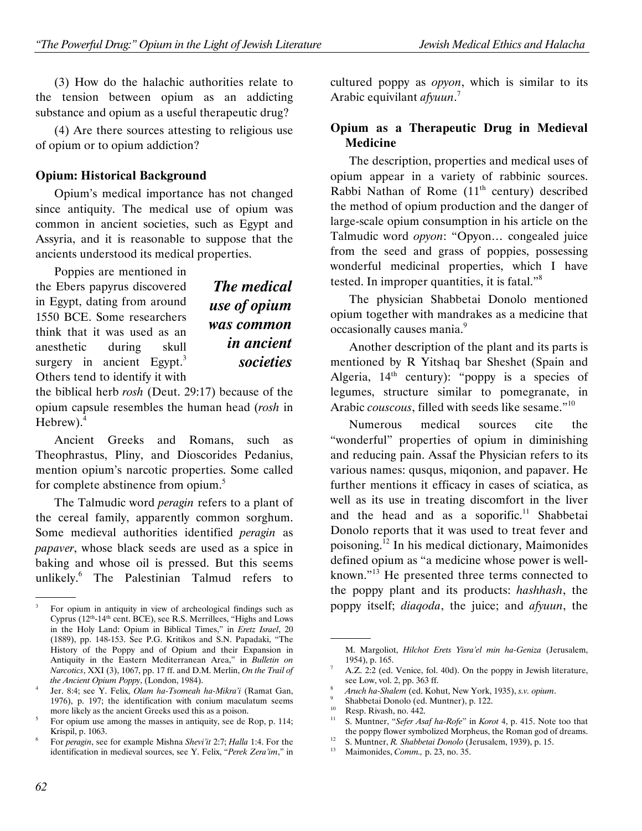(3) How do the halachic authorities relate to the tension between opium as an addicting substance and opium as a useful therapeutic drug?

(4) Are there sources attesting to religious use of opium or to opium addiction?

#### Opium: Historical Background

Opium's medical importance has not changed since antiquity. The medical use of opium was common in ancient societies, such as Egypt and Assyria, and it is reasonable to suppose that the ancients understood its medical properties.

Poppies are mentioned in the Ebers papyrus discovered in Egypt, dating from around 1550 BCE. Some researchers think that it was used as an anesthetic during skull surgery in ancient  $Egypt.<sup>3</sup>$ Others tend to identify it with

The medical use of opium was common in ancient societies

the biblical herb rosh (Deut. 29:17) because of the opium capsule resembles the human head (rosh in Hebrew). $4$ 

Ancient Greeks and Romans, such as Theophrastus, Pliny, and Dioscorides Pedanius, mention opium's narcotic properties. Some called for complete abstinence from opium.<sup>5</sup>

The Talmudic word *peragin* refers to a plant of the cereal family, apparently common sorghum. Some medieval authorities identified peragin as papaver, whose black seeds are used as a spice in baking and whose oil is pressed. But this seems unlikely.<sup>6</sup> The Palestinian Talmud refers to cultured poppy as opyon, which is similar to its Arabic equivilant *afyuun*.<sup>7</sup>

#### Opium as a Therapeutic Drug in Medieval Medicine

The description, properties and medical uses of opium appear in a variety of rabbinic sources. Rabbi Nathan of Rome  $(11<sup>th</sup>$  century) described the method of opium production and the danger of large-scale opium consumption in his article on the Talmudic word opyon: "Opyon… congealed juice from the seed and grass of poppies, possessing wonderful medicinal properties, which I have tested. In improper quantities, it is fatal."<sup>8</sup>

The physician Shabbetai Donolo mentioned opium together with mandrakes as a medicine that occasionally causes mania.<sup>9</sup>

Another description of the plant and its parts is mentioned by R Yitshaq bar Sheshet (Spain and Algeria,  $14<sup>th</sup>$  century): "poppy is a species of legumes, structure similar to pomegranate, in Arabic *couscous*, filled with seeds like sesame."<sup>10</sup>

Numerous medical sources cite the "wonderful" properties of opium in diminishing and reducing pain. Assaf the Physician refers to its various names: qusqus, miqonion, and papaver. He further mentions it efficacy in cases of sciatica, as well as its use in treating discomfort in the liver and the head and as a soporific.<sup>11</sup> Shabbetai Donolo reports that it was used to treat fever and poisoning.<sup>12</sup> In his medical dictionary, Maimonides defined opium as "a medicine whose power is wellknown."<sup>13</sup> He presented three terms connected to the poppy plant and its products: hashhash, the poppy itself; diaqoda, the juice; and afyuun, the

 <sup>.</sup> <sup>3</sup> For opium in antiquity in view of archeological findings such as Cyprus (12th-14th cent. BCE), see R.S. Merrillees, "Highs and Lows in the Holy Land: Opium in Biblical Times," in Eretz Israel, 20 (1889), pp. 148-153. See P.G. Kritikos and S.N. Papadaki, "The History of the Poppy and of Opium and their Expansion in Antiquity in the Eastern Mediterranean Area," in Bulletin on Narcotics, XXI (3), 1067, pp. 17 ff. and D.M. Merlin, On the Trail of the Ancient Opium Poppy, (London, 1984).

<sup>4</sup> Jer. 8:4; see Y. Felix, Olam ha-Tsomeah ha-Mikra'i (Ramat Gan, 1976), p. 197; the identification with conium maculatum seems more likely as the ancient Greeks used this as a poison.

<sup>5</sup> For opium use among the masses in antiquity, see de Rop, p. 114; Krispil, p. 1063.

For peragin, see for example Mishna Shevi'it 2:7; Halla 1:4. For the identification in medieval sources, see Y. Felix, "Perek Zera'im," in

 <sup>.</sup> M. Margoliot, Hilchot Erets Yisra'el min ha-Geniza (Jerusalem, 1954), p. 165.

A.Z. 2:2 (ed. Venice, fol. 40d). On the poppy in Jewish literature, see Low, vol. 2, pp. 363 ff.

<sup>8</sup> Aruch ha-Shalem (ed. Kohut, New York, 1935), s.v. opium.

<sup>9</sup> Shabbetai Donolo (ed. Muntner), p. 122.

 $10$  Resp. Rivash, no. 442.

S. Muntner, "Sefer Asaf ha-Rofe" in Korot 4, p. 415. Note too that the poppy flower symbolized Morpheus, the Roman god of dreams.

<sup>&</sup>lt;sup>12</sup> S. Muntner, *R. Shabbetai Donolo* (Jerusalem, 1939), p. 15.<br><sup>13</sup> Maimonidae Comm. p. 23, p. 25.

Maimonides, Comm., p. 23, no. 35.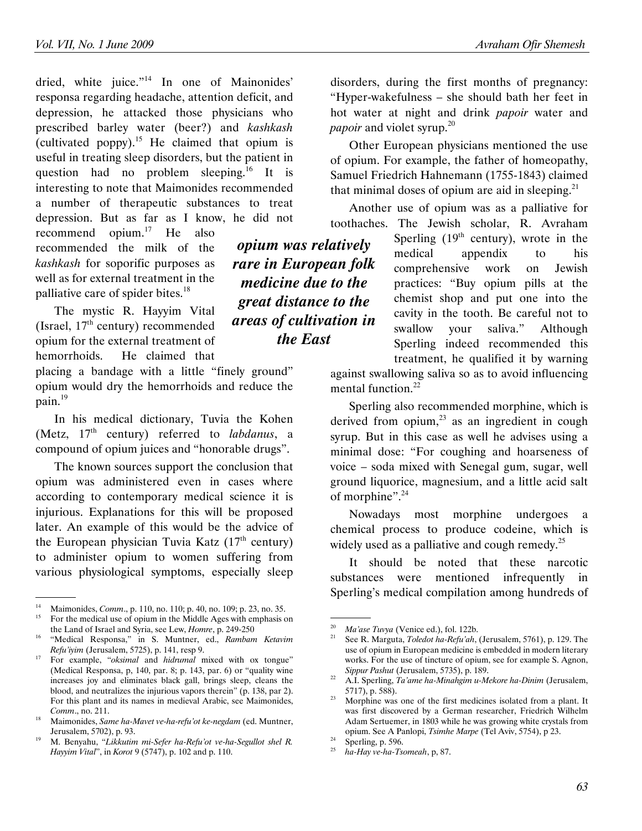dried, white juice."<sup>14</sup> In one of Mainonides' responsa regarding headache, attention deficit, and depression, he attacked those physicians who prescribed barley water (beer?) and kashkash (cultivated poppy).<sup>15</sup> He claimed that opium is useful in treating sleep disorders, but the patient in question had no problem sleeping.<sup>16</sup> It is interesting to note that Maimonides recommended a number of therapeutic substances to treat depression. But as far as I know, he did not

recommend opium.<sup>17</sup> He also recommended the milk of the kashkash for soporific purposes as well as for external treatment in the palliative care of spider bites.<sup>18</sup>

The mystic R. Hayyim Vital (Israel,  $17<sup>th</sup>$  century) recommended opium for the external treatment of hemorrhoids. He claimed that

placing a bandage with a little "finely ground" opium would dry the hemorrhoids and reduce the pain.<sup>19</sup>

In his medical dictionary, Tuvia the Kohen (Metz,  $17<sup>th</sup>$  century) referred to *labdanus*, a compound of opium juices and "honorable drugs".

The known sources support the conclusion that opium was administered even in cases where according to contemporary medical science it is injurious. Explanations for this will be proposed later. An example of this would be the advice of the European physician Tuvia Katz  $(17<sup>th</sup>$  century) to administer opium to women suffering from various physiological symptoms, especially sleep disorders, during the first months of pregnancy: "Hyper-wakefulness – she should bath her feet in hot water at night and drink papoir water and *papoir* and violet syrup.<sup>20</sup>

Other European physicians mentioned the use of opium. For example, the father of homeopathy, Samuel Friedrich Hahnemann (1755-1843) claimed that minimal doses of opium are aid in sleeping. $21$ 

Another use of opium was as a palliative for toothaches. The Jewish scholar, R. Avraham

> Sperling  $(19<sup>th</sup>$  century), wrote in the medical appendix to his comprehensive work on Jewish practices: "Buy opium pills at the chemist shop and put one into the cavity in the tooth. Be careful not to swallow your saliva." Although Sperling indeed recommended this treatment, he qualified it by warning

against swallowing saliva so as to avoid influencing mental function.<sup>22</sup>

Sperling also recommended morphine, which is derived from opium, $^{23}$  as an ingredient in cough syrup. But in this case as well he advises using a minimal dose: "For coughing and hoarseness of voice – soda mixed with Senegal gum, sugar, well ground liquorice, magnesium, and a little acid salt of morphine".<sup>24</sup>

Nowadays most morphine undergoes a chemical process to produce codeine, which is widely used as a palliative and cough remedy.<sup>25</sup>

It should be noted that these narcotic substances were mentioned infrequently in Sperling's medical compilation among hundreds of

opium was relatively rare in European folk medicine due to the great distance to the areas of cultivation in the East

 <sup>.</sup> <sup>14</sup> Maimonides, *Comm.*, p. 110, no. 110; p. 40, no. 109; p. 23, no. 35.<br><sup>15</sup> Eq. the modical use of one in the Middle Ages with emphasis c <sup>15</sup> For the medical use of opium in the Middle Ages with emphasis on

the Land of Israel and Syria, see Lew, Homre, p. 249-250

<sup>&</sup>quot;Medical Responsa," in S. Muntner, ed., Rambam Ketavim Refu'iyim (Jerusalem, 5725), p. 141, resp 9.

 $17$  For example, "*oksimal* and *hidrumal* mixed with ox tongue" (Medical Responsa, p, 140, par. 8; p. 143, par. 6) or "quality wine increases joy and eliminates black gall, brings sleep, cleans the blood, and neutralizes the injurious vapors therein" (p. 138, par 2). For this plant and its names in medieval Arabic, see Maimonides, Comm., no. 211.

<sup>&</sup>lt;sup>18</sup> Maimonides, Same ha-Mavet ve-ha-refu'ot ke-negdam (ed. Muntner, Jerusalem, 5702), p. 93.

<sup>19</sup> M. Benyahu, "Likkutim mi-Sefer ha-Refu'ot ve-ha-Segullot shel R. Hayyim Vital", in Korot 9 (5747), p. 102 and p. 110.

 <sup>.</sup> <sup>20</sup> Ma'ase Tuvya (Venice ed.), fol. 122b.

See R. Marguta, Toledot ha-Refu'ah, (Jerusalem, 5761), p. 129. The use of opium in European medicine is embedded in modern literary works. For the use of tincture of opium, see for example S. Agnon, Sippur Pashut (Jerusalem, 5735), p. 189.

<sup>&</sup>lt;sup>22</sup> A.I. Sperling,  $Ta'$ ame ha-Minahgim u-Mekore ha-Dinim (Jerusalem, 5717), p. 588).

Morphine was one of the first medicines isolated from a plant. It was first discovered by a German researcher, Friedrich Wilhelm Adam Sertuemer, in 1803 while he was growing white crystals from opium. See A Panlopi, Tsimhe Marpe (Tel Aviv, 5754), p 23.

<sup>&</sup>lt;sup>24</sup> Sperling, p. 596.

ha-Hay ve-ha-Tsomeah, p, 87.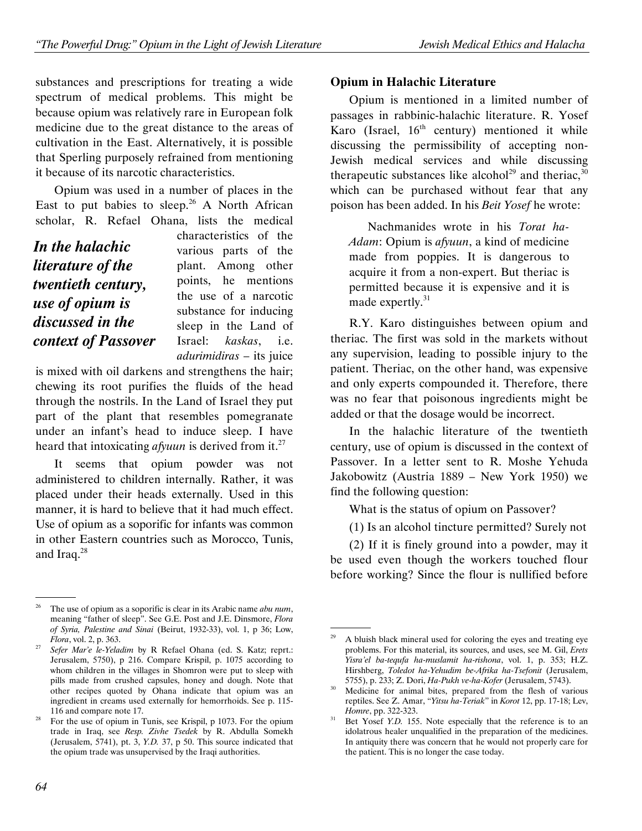substances and prescriptions for treating a wide spectrum of medical problems. This might be because opium was relatively rare in European folk medicine due to the great distance to the areas of cultivation in the East. Alternatively, it is possible that Sperling purposely refrained from mentioning it because of its narcotic characteristics.

Opium was used in a number of places in the East to put babies to sleep.<sup>26</sup> A North African scholar, R. Refael Ohana, lists the medical

|                     | СІ                      |
|---------------------|-------------------------|
| In the halachic     | Vź                      |
| literature of the   | $\mathsf{p}$            |
| twentieth century,  | p۱                      |
| use of opium is     | tŀ                      |
|                     | $\overline{\mathbf{S}}$ |
| discussed in the    | sl                      |
| context of Passover | Is                      |
|                     |                         |

characteristics of the arious parts of the lant. Among other points, he mentions the use of a narcotic ubstance for inducing leep in the Land of rael: kaskas, i.e. adurimidiras – its juice

is mixed with oil darkens and strengthens the hair; chewing its root purifies the fluids of the head through the nostrils. In the Land of Israel they put part of the plant that resembles pomegranate under an infant's head to induce sleep. I have heard that intoxicating *afyuun* is derived from it.<sup>27</sup>

It seems that opium powder was not administered to children internally. Rather, it was placed under their heads externally. Used in this manner, it is hard to believe that it had much effect. Use of opium as a soporific for infants was common in other Eastern countries such as Morocco, Tunis, and Iraq.<sup>28</sup>

#### Opium in Halachic Literature

Opium is mentioned in a limited number of passages in rabbinic-halachic literature. R. Yosef Karo (Israel,  $16<sup>th</sup>$  century) mentioned it while discussing the permissibility of accepting non-Jewish medical services and while discussing therapeutic substances like alcohol<sup>29</sup> and theriac,  $30$ which can be purchased without fear that any poison has been added. In his Beit Yosef he wrote:

Nachmanides wrote in his Torat ha-Adam: Opium is afyuun, a kind of medicine made from poppies. It is dangerous to acquire it from a non-expert. But theriac is permitted because it is expensive and it is made expertly. $31$ 

R.Y. Karo distinguishes between opium and theriac. The first was sold in the markets without any supervision, leading to possible injury to the patient. Theriac, on the other hand, was expensive and only experts compounded it. Therefore, there was no fear that poisonous ingredients might be added or that the dosage would be incorrect.

In the halachic literature of the twentieth century, use of opium is discussed in the context of Passover. In a letter sent to R. Moshe Yehuda Jakobowitz (Austria 1889 – New York 1950) we find the following question:

What is the status of opium on Passover?

(1) Is an alcohol tincture permitted? Surely not

(2) If it is finely ground into a powder, may it be used even though the workers touched flour before working? Since the flour is nullified before

 <sup>.</sup> The use of opium as a soporific is clear in its Arabic name abu num, meaning "father of sleep". See G.E. Post and J.E. Dinsmore, Flora of Syria, Palestine and Sinai (Beirut, 1932-33), vol. 1, p 36; Low, Flora, vol. 2, p. 363.

Sefer Mar'e le-Yeladim by R Refael Ohana (ed. S. Katz; reprt.: Jerusalem, 5750), p 216. Compare Krispil, p. 1075 according to whom children in the villages in Shomron were put to sleep with pills made from crushed capsules, honey and dough. Note that other recipes quoted by Ohana indicate that opium was an ingredient in creams used externally for hemorrhoids. See p. 115- 116 and compare note 17.

<sup>&</sup>lt;sup>28</sup> For the use of opium in Tunis, see Krispil, p 1073. For the opium trade in Iraq, see Resp. Zivhe Tsedek by R. Abdulla Somekh (Jerusalem, 5741), pt. 3, Y.D. 37, p 50. This source indicated that the opium trade was unsupervised by the Iraqi authorities.

 <sup>.</sup> A bluish black mineral used for coloring the eyes and treating eye problems. For this material, its sources, and uses, see M. Gil, Erets Yisra'el ba-tequfa ha-muslamit ha-rishona, vol. 1, p. 353; H.Z. Hirshberg, Toledot ha-Yehudim be-Afrika ha-Tsefonit (Jerusalem, 5755), p. 233; Z. Dori, Ha-Pukh ve-ha-Kofer (Jerusalem, 5743).

 $30$  Medicine for animal bites, prepared from the flesh of various reptiles. See Z. Amar, "Yitsu ha-Teriak" in Korot 12, pp. 17-18; Lev, Homre, pp. 322-323.

 $31$  Bet Yosef Y.D. 155. Note especially that the reference is to an idolatrous healer unqualified in the preparation of the medicines. In antiquity there was concern that he would not properly care for the patient. This is no longer the case today.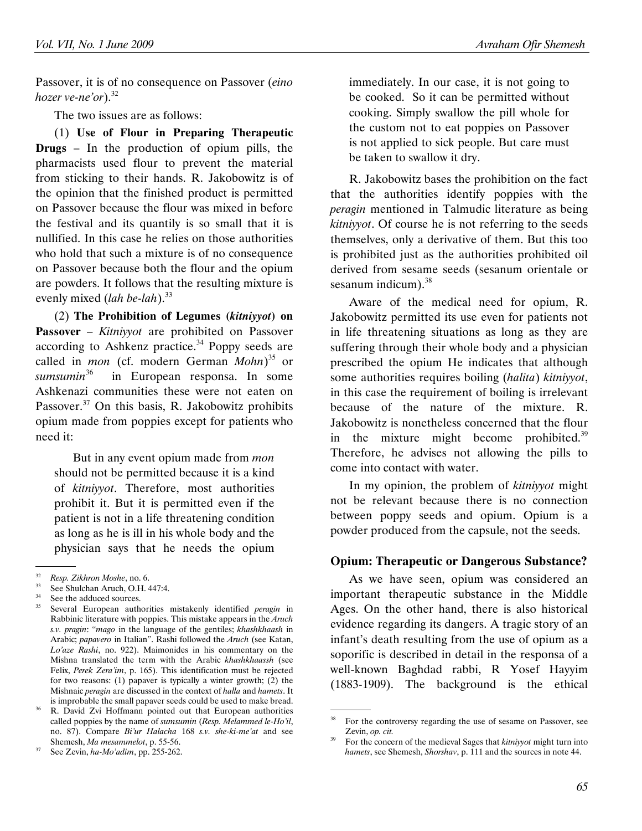Passover, it is of no consequence on Passover (eino hozer ve-ne'or). $32$ 

The two issues are as follows:

(1) Use of Flour in Preparing Therapeutic Drugs – In the production of opium pills, the pharmacists used flour to prevent the material from sticking to their hands. R. Jakobowitz is of the opinion that the finished product is permitted on Passover because the flour was mixed in before the festival and its quantily is so small that it is nullified. In this case he relies on those authorities who hold that such a mixture is of no consequence on Passover because both the flour and the opium are powders. It follows that the resulting mixture is evenly mixed (*lah be-lah*).<sup>33</sup>

(2) The Prohibition of Legumes (kitniyyot) on Passover – *Kitniyyot* are prohibited on Passover according to Ashkenz practice. $34$  Poppy seeds are called in *mon* (cf. modern German  $Mohn$ <sup>35</sup> or sumsumin<sup>36</sup> in European responsa. In some Ashkenazi communities these were not eaten on Passover.<sup>37</sup> On this basis, R. Jakobowitz prohibits opium made from poppies except for patients who need it:

But in any event opium made from *mon* should not be permitted because it is a kind of kitniyyot. Therefore, most authorities prohibit it. But it is permitted even if the patient is not in a life threatening condition as long as he is ill in his whole body and the physician says that he needs the opium

immediately. In our case, it is not going to be cooked. So it can be permitted without cooking. Simply swallow the pill whole for the custom not to eat poppies on Passover is not applied to sick people. But care must be taken to swallow it dry.

R. Jakobowitz bases the prohibition on the fact that the authorities identify poppies with the peragin mentioned in Talmudic literature as being kitniyyot. Of course he is not referring to the seeds themselves, only a derivative of them. But this too is prohibited just as the authorities prohibited oil derived from sesame seeds (sesanum orientale or sesanum indicum $1^{38}$ 

Aware of the medical need for opium, R. Jakobowitz permitted its use even for patients not in life threatening situations as long as they are suffering through their whole body and a physician prescribed the opium He indicates that although some authorities requires boiling (halita) kitniyyot, in this case the requirement of boiling is irrelevant because of the nature of the mixture. R. Jakobowitz is nonetheless concerned that the flour in the mixture might become prohibited. $39$ Therefore, he advises not allowing the pills to come into contact with water.

In my opinion, the problem of kitniyyot might not be relevant because there is no connection between poppy seeds and opium. Opium is a powder produced from the capsule, not the seeds.

### Opium: Therapeutic or Dangerous Substance?

As we have seen, opium was considered an important therapeutic substance in the Middle Ages. On the other hand, there is also historical evidence regarding its dangers. A tragic story of an infant's death resulting from the use of opium as a soporific is described in detail in the responsa of a well-known Baghdad rabbi, R Yosef Hayyim (1883-1909). The background is the ethical

 <sup>.</sup>  $Resp. Zikhron Moshe, no. 6.$ <br>  $S33$  See Shalsher, Arresh O.H.

 $33$  See Shulchan Aruch, O.H. 447:4.

 $34$  See the adduced sources.<br> $35$  Soveral European outh

Several European authorities mistakenly identified *peragin* in Rabbinic literature with poppies. This mistake appears in the Aruch s.v. pragin: "mago in the language of the gentiles; khashkhaash in Arabic; papavero in Italian". Rashi followed the Aruch (see Katan, Lo'aze Rashi, no. 922). Maimonides in his commentary on the Mishna translated the term with the Arabic khashkhaassh (see Felix, Perek Zera'im, p. 165). This identification must be rejected for two reasons: (1) papaver is typically a winter growth; (2) the Mishnaic peragin are discussed in the context of halla and hamets. It is improbable the small papaver seeds could be used to make bread.

R. David Zvi Hoffmann pointed out that European authorities called poppies by the name of sumsumin (Resp. Melammed le-Ho'il, no. 87). Compare Bi'ur Halacha 168 s.v. she-ki-me'at and see Shemesh, Ma mesammelot, p. 55-56.

 $37$  See Zevin, ha-Mo'adim, pp. 255-262.

 <sup>.</sup> <sup>38</sup> For the controversy regarding the use of sesame on Passover, see Zevin, op. cit.

<sup>39</sup> For the concern of the medieval Sages that kitniyyot might turn into hamets, see Shemesh, Shorshav, p. 111 and the sources in note 44.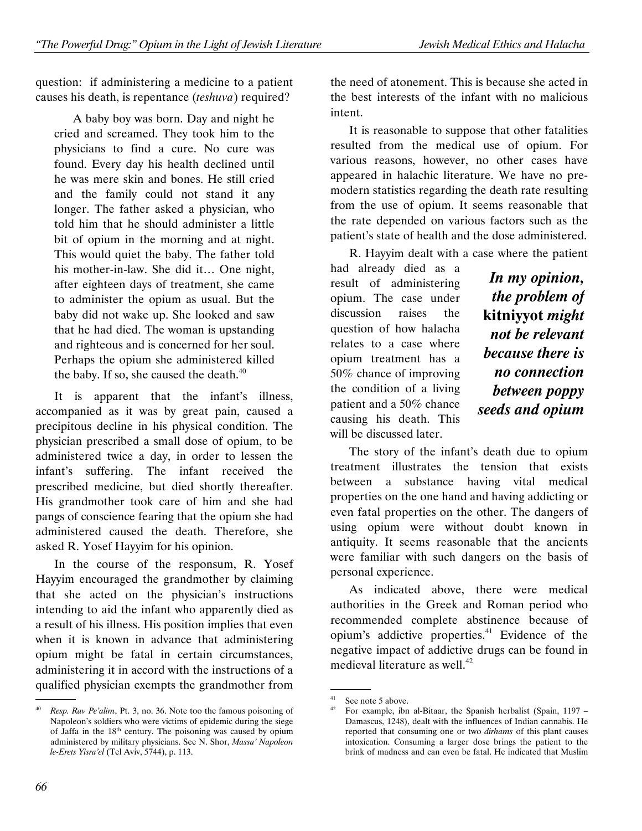question: if administering a medicine to a patient causes his death, is repentance (teshuva) required?

A baby boy was born. Day and night he cried and screamed. They took him to the physicians to find a cure. No cure was found. Every day his health declined until he was mere skin and bones. He still cried and the family could not stand it any longer. The father asked a physician, who told him that he should administer a little bit of opium in the morning and at night. This would quiet the baby. The father told his mother-in-law. She did it… One night, after eighteen days of treatment, she came to administer the opium as usual. But the baby did not wake up. She looked and saw that he had died. The woman is upstanding and righteous and is concerned for her soul. Perhaps the opium she administered killed the baby. If so, she caused the death. $40$ 

It is apparent that the infant's illness, accompanied as it was by great pain, caused a precipitous decline in his physical condition. The physician prescribed a small dose of opium, to be administered twice a day, in order to lessen the infant's suffering. The infant received the prescribed medicine, but died shortly thereafter. His grandmother took care of him and she had pangs of conscience fearing that the opium she had administered caused the death. Therefore, she asked R. Yosef Hayyim for his opinion.

In the course of the responsum, R. Yosef Hayyim encouraged the grandmother by claiming that she acted on the physician's instructions intending to aid the infant who apparently died as a result of his illness. His position implies that even when it is known in advance that administering opium might be fatal in certain circumstances, administering it in accord with the instructions of a qualified physician exempts the grandmother from

the need of atonement. This is because she acted in the best interests of the infant with no malicious intent.

It is reasonable to suppose that other fatalities resulted from the medical use of opium. For various reasons, however, no other cases have appeared in halachic literature. We have no premodern statistics regarding the death rate resulting from the use of opium. It seems reasonable that the rate depended on various factors such as the patient's state of health and the dose administered.

R. Hayyim dealt with a case where the patient

had already died as a result of administering opium. The case under discussion raises the question of how halacha relates to a case where opium treatment has a 50% chance of improving the condition of a living patient and a 50% chance causing his death. This will be discussed later.

In my opinion, the problem of kitniyyot might not be relevant because there is no connection between poppy seeds and opium

The story of the infant's death due to opium treatment illustrates the tension that exists between a substance having vital medical properties on the one hand and having addicting or even fatal properties on the other. The dangers of using opium were without doubt known in antiquity. It seems reasonable that the ancients were familiar with such dangers on the basis of personal experience.

As indicated above, there were medical authorities in the Greek and Roman period who recommended complete abstinence because of opium's addictive properties.<sup>41</sup> Evidence of the negative impact of addictive drugs can be found in medieval literature as well.<sup>42</sup>

 <sup>.</sup> Resp. Rav Pe'alim, Pt. 3, no. 36. Note too the famous poisoning of Napoleon's soldiers who were victims of epidemic during the siege of Jaffa in the 18th century. The poisoning was caused by opium administered by military physicians. See N. Shor, Massa' Napoleon le-Erets Yisra'el (Tel Aviv, 5744), p. 113.

 <sup>.</sup>  $^{41}$  See note 5 above.

<sup>42</sup> For example, ibn al-Bitaar, the Spanish herbalist (Spain, 1197 – Damascus, 1248), dealt with the influences of Indian cannabis. He reported that consuming one or two dirhams of this plant causes intoxication. Consuming a larger dose brings the patient to the brink of madness and can even be fatal. He indicated that Muslim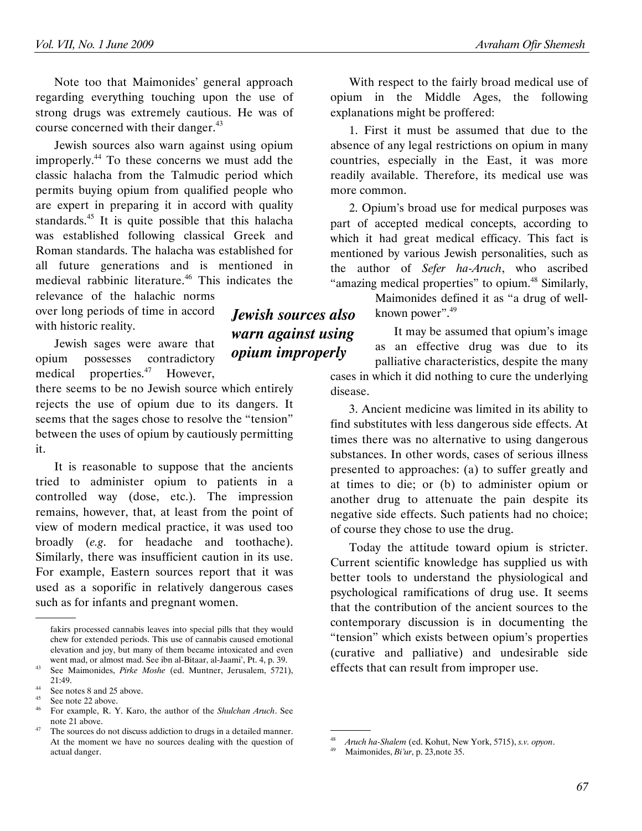Note too that Maimonides' general approach regarding everything touching upon the use of strong drugs was extremely cautious. He was of course concerned with their danger.<sup>43</sup>

Jewish sources also warn against using opium improperly.<sup>44</sup> To these concerns we must add the classic halacha from the Talmudic period which permits buying opium from qualified people who are expert in preparing it in accord with quality standards.<sup>45</sup> It is quite possible that this halacha was established following classical Greek and Roman standards. The halacha was established for all future generations and is mentioned in medieval rabbinic literature.<sup>46</sup> This indicates the relevance of the halachic norms

over long periods of time in accord with historic reality.

Jewish sages were aware that opium possesses contradictory medical properties.<sup>47</sup> However,

there seems to be no Jewish source which entirely rejects the use of opium due to its dangers. It seems that the sages chose to resolve the "tension" between the uses of opium by cautiously permitting it.

It is reasonable to suppose that the ancients tried to administer opium to patients in a controlled way (dose, etc.). The impression remains, however, that, at least from the point of view of modern medical practice, it was used too broadly (e.g. for headache and toothache). Similarly, there was insufficient caution in its use. For example, Eastern sources report that it was used as a soporific in relatively dangerous cases such as for infants and pregnant women.

.

With respect to the fairly broad medical use of opium in the Middle Ages, the following explanations might be proffered:

1. First it must be assumed that due to the absence of any legal restrictions on opium in many countries, especially in the East, it was more readily available. Therefore, its medical use was more common.

2. Opium's broad use for medical purposes was part of accepted medical concepts, according to which it had great medical efficacy. This fact is mentioned by various Jewish personalities, such as the author of Sefer ha-Aruch, who ascribed "amazing medical properties" to opium.<sup>48</sup> Similarly,

> Maimonides defined it as "a drug of wellknown power".<sup>49</sup>

It may be assumed that opium's image as an effective drug was due to its palliative characteristics, despite the many

cases in which it did nothing to cure the underlying disease.

3. Ancient medicine was limited in its ability to find substitutes with less dangerous side effects. At times there was no alternative to using dangerous substances. In other words, cases of serious illness presented to approaches: (a) to suffer greatly and at times to die; or (b) to administer opium or another drug to attenuate the pain despite its negative side effects. Such patients had no choice; of course they chose to use the drug.

Today the attitude toward opium is stricter. Current scientific knowledge has supplied us with better tools to understand the physiological and psychological ramifications of drug use. It seems that the contribution of the ancient sources to the contemporary discussion is in documenting the "tension" which exists between opium's properties (curative and palliative) and undesirable side effects that can result from improper use.

.

Jewish sources also warn against using opium improperly

fakirs processed cannabis leaves into special pills that they would chew for extended periods. This use of cannabis caused emotional elevation and joy, but many of them became intoxicated and even went mad, or almost mad. See ibn al-Bitaar, al-Jaami', Pt. 4, p. 39.

See Maimonides, Pirke Moshe (ed. Muntner, Jerusalem, 5721), 21:49.

 $^{44}$  See notes 8 and 25 above.

See note 22 above.

For example, R. Y. Karo, the author of the Shulchan Aruch. See note 21 above.

 $47$  The sources do not discuss addiction to drugs in a detailed manner. At the moment we have no sources dealing with the question of actual danger.

<sup>&</sup>lt;sup>48</sup> Aruch ha-Shalem (ed. Kohut, New York, 5715), s.v. opyon.

Maimonides, Bi'ur, p. 23,note 35.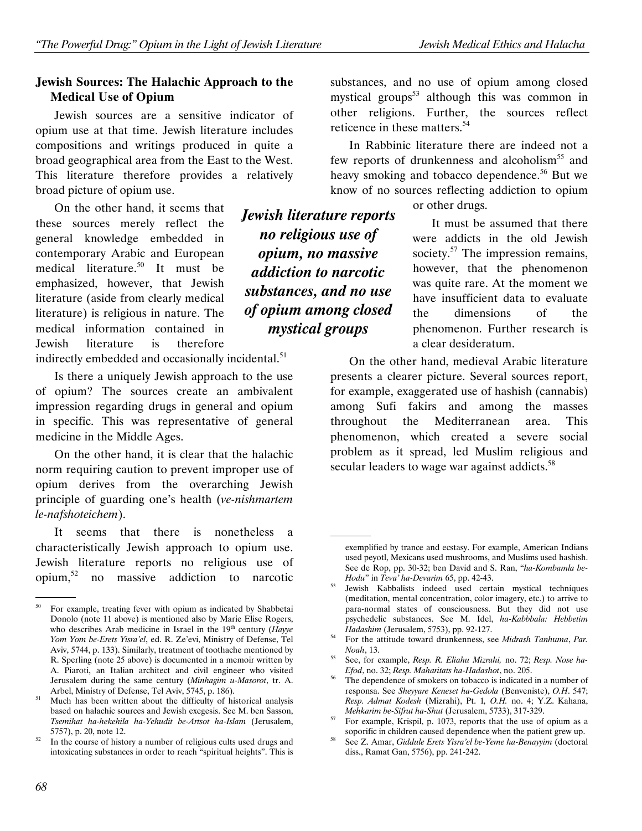#### Jewish Sources: The Halachic Approach to the Medical Use of Opium

Jewish sources are a sensitive indicator of opium use at that time. Jewish literature includes compositions and writings produced in quite a broad geographical area from the East to the West. This literature therefore provides a relatively broad picture of opium use.

On the other hand, it seems that these sources merely reflect the general knowledge embedded in contemporary Arabic and European medical literature.<sup>50</sup> It must be emphasized, however, that Jewish literature (aside from clearly medical literature) is religious in nature. The medical information contained in Jewish literature is therefore

indirectly embedded and occasionally incidental.<sup>51</sup>

Is there a uniquely Jewish approach to the use of opium? The sources create an ambivalent impression regarding drugs in general and opium in specific. This was representative of general medicine in the Middle Ages.

On the other hand, it is clear that the halachic norm requiring caution to prevent improper use of opium derives from the overarching Jewish principle of guarding one's health (ve-nishmartem le-nafshoteichem).

It seems that there is nonetheless a characteristically Jewish approach to opium use. Jewish literature reports no religious use of opium, $52$  no massive addiction to narcotic substances, and no use of opium among closed mystical groups<sup>53</sup> although this was common in other religions. Further, the sources reflect reticence in these matters.<sup>54</sup>

In Rabbinic literature there are indeed not a few reports of drunkenness and alcoholism<sup>55</sup> and heavy smoking and tobacco dependence.<sup>56</sup> But we know of no sources reflecting addiction to opium

or other drugs.

It must be assumed that there were addicts in the old Jewish society.<sup>57</sup> The impression remains, however, that the phenomenon was quite rare. At the moment we have insufficient data to evaluate the dimensions of the phenomenon. Further research is a clear desideratum.

On the other hand, medieval Arabic literature presents a clearer picture. Several sources report, for example, exaggerated use of hashish (cannabis) among Sufi fakirs and among the masses throughout the Mediterranean area. This phenomenon, which created a severe social problem as it spread, led Muslim religious and secular leaders to wage war against addicts.<sup>58</sup>

# no religious use of opium, no massive addiction to narcotic substances, and no use of opium among closed mystical groups

Jewish literature reports

 <sup>.</sup> <sup>50</sup> For example, treating fever with opium as indicated by Shabbetai Donolo (note 11 above) is mentioned also by Marie Elise Rogers, who describes Arab medicine in Israel in the  $19<sup>th</sup>$  century (Hayye Yom Yom be-Erets Yisra'el, ed. R. Ze'evi, Ministry of Defense, Tel Aviv, 5744, p. 133). Similarly, treatment of toothache mentioned by R. Sperling (note 25 above) is documented in a memoir written by A. Piaroti, an Italian architect and civil engineer who visited Jerusalem during the same century (Minhagim u-Masorot, tr. A. Arbel, Ministry of Defense, Tel Aviv, 5745, p. 186).

Much has been written about the difficulty of historical analysis based on halachic sources and Jewish exegesis. See M. ben Sasson, Tsemihat ha-hekehila ha-Yehudit be-Artsot ha-Islam (Jerusalem, 5757), p. 20, note 12.

In the course of history a number of religious cults used drugs and intoxicating substances in order to reach "spiritual heights". This is

 <sup>.</sup> exemplified by trance and ecstasy. For example, American Indians used peyotl, Mexicans used mushrooms, and Muslims used hashish. See de Rop, pp. 30-32; ben David and S. Ran, "ha-Kombamla be-Hodu" in Teva' ha-Devarim 65, pp. 42-43.

Jewish Kabbalists indeed used certain mystical techniques (meditation, mental concentration, color imagery, etc.) to arrive to para-normal states of consciousness. But they did not use psychedelic substances. See M. Idel, ha-Kabbbala: Hebbetim Hadashim (Jerusalem, 5753), pp. 92-127.

For the attitude toward drunkenness, see Midrash Tanhuma, Par. Noah, 13.

<sup>55</sup> See, for example, Resp. R. Eliahu Mizrahi, no. 72; Resp. Nose ha-Efod, no. 32; Resp. Maharitats ha-Hadashot, no. 205.

<sup>&</sup>lt;sup>56</sup> The dependence of smokers on tobacco is indicated in a number of responsa. See Sheyyare Keneset ha-Gedola (Benveniste), O.H. 547; Resp. Admat Kodesh (Mizrahi), Pt. 1, O.H. no. 4; Y.Z. Kahana, Mehkarim be-Sifrut ha-Shut (Jerusalem, 5733), 317-329.

 $57$  For example, Krispil, p. 1073, reports that the use of opium as a soporific in children caused dependence when the patient grew up.

See Z. Amar, Giddule Erets Yisra'el be-Yeme ha-Benayyim (doctoral diss., Ramat Gan, 5756), pp. 241-242.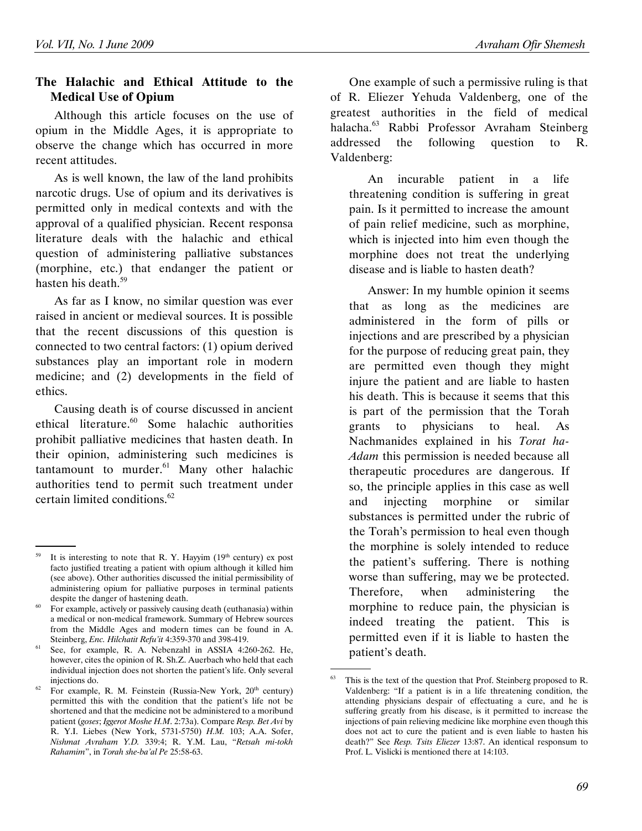## The Halachic and Ethical Attitude to the Medical Use of Opium

Although this article focuses on the use of opium in the Middle Ages, it is appropriate to observe the change which has occurred in more recent attitudes.

As is well known, the law of the land prohibits narcotic drugs. Use of opium and its derivatives is permitted only in medical contexts and with the approval of a qualified physician. Recent responsa literature deals with the halachic and ethical question of administering palliative substances (morphine, etc.) that endanger the patient or hasten his death.<sup>59</sup>

As far as I know, no similar question was ever raised in ancient or medieval sources. It is possible that the recent discussions of this question is connected to two central factors: (1) opium derived substances play an important role in modern medicine; and (2) developments in the field of ethics.

Causing death is of course discussed in ancient ethical literature.<sup>60</sup> Some halachic authorities prohibit palliative medicines that hasten death. In their opinion, administering such medicines is tantamount to murder. $61$  Many other halachic authorities tend to permit such treatment under certain limited conditions.<sup>62</sup>

One example of such a permissive ruling is that of R. Eliezer Yehuda Valdenberg, one of the greatest authorities in the field of medical halacha.<sup>63</sup> Rabbi Professor Avraham Steinberg addressed the following question to R. Valdenberg:

An incurable patient in a life threatening condition is suffering in great pain. Is it permitted to increase the amount of pain relief medicine, such as morphine, which is injected into him even though the morphine does not treat the underlying disease and is liable to hasten death?

Answer: In my humble opinion it seems that as long as the medicines are administered in the form of pills or injections and are prescribed by a physician for the purpose of reducing great pain, they are permitted even though they might injure the patient and are liable to hasten his death. This is because it seems that this is part of the permission that the Torah grants to physicians to heal. As Nachmanides explained in his Torat ha-Adam this permission is needed because all therapeutic procedures are dangerous. If so, the principle applies in this case as well and injecting morphine or similar substances is permitted under the rubric of the Torah's permission to heal even though the morphine is solely intended to reduce the patient's suffering. There is nothing worse than suffering, may we be protected. Therefore, when administering the morphine to reduce pain, the physician is indeed treating the patient. This is permitted even if it is liable to hasten the patient's death.

 <sup>.</sup> <sup>59</sup> It is interesting to note that R. Y. Hayyim  $(19<sup>th</sup>$  century) ex post facto justified treating a patient with opium although it killed him (see above). Other authorities discussed the initial permissibility of administering opium for palliative purposes in terminal patients despite the danger of hastening death.

For example, actively or passively causing death (euthanasia) within a medical or non-medical framework. Summary of Hebrew sources from the Middle Ages and modern times can be found in A. Steinberg, Enc. Hilchatit Refu'it 4:359-370 and 398-419.

See, for example, R. A. Nebenzahl in ASSIA 4:260-262. He, however, cites the opinion of R. Sh.Z. Auerbach who held that each individual injection does not shorten the patient's life. Only several injections do.

 $62$  For example, R. M. Feinstein (Russia-New York,  $20<sup>th</sup>$  century) permitted this with the condition that the patient's life not be shortened and that the medicine not be administered to a moribund patient (goses; Iggerot Moshe H.M. 2:73a). Compare Resp. Bet Avi by R. Y.I. Liebes (New York, 5731-5750) H.M. 103; A.A. Sofer, Nishmat Avraham Y.D. 339:4; R. Y.M. Lau, "Retsah mi-tokh Rahamim", in Torah she-ba'al Pe 25:58-63.

 <sup>.</sup> This is the text of the question that Prof. Steinberg proposed to R. Valdenberg: "If a patient is in a life threatening condition, the attending physicians despair of effectuating a cure, and he is suffering greatly from his disease, is it permitted to increase the injections of pain relieving medicine like morphine even though this does not act to cure the patient and is even liable to hasten his death?" See Resp. Tsits Eliezer 13:87. An identical responsum to Prof. L. Vislicki is mentioned there at 14:103.